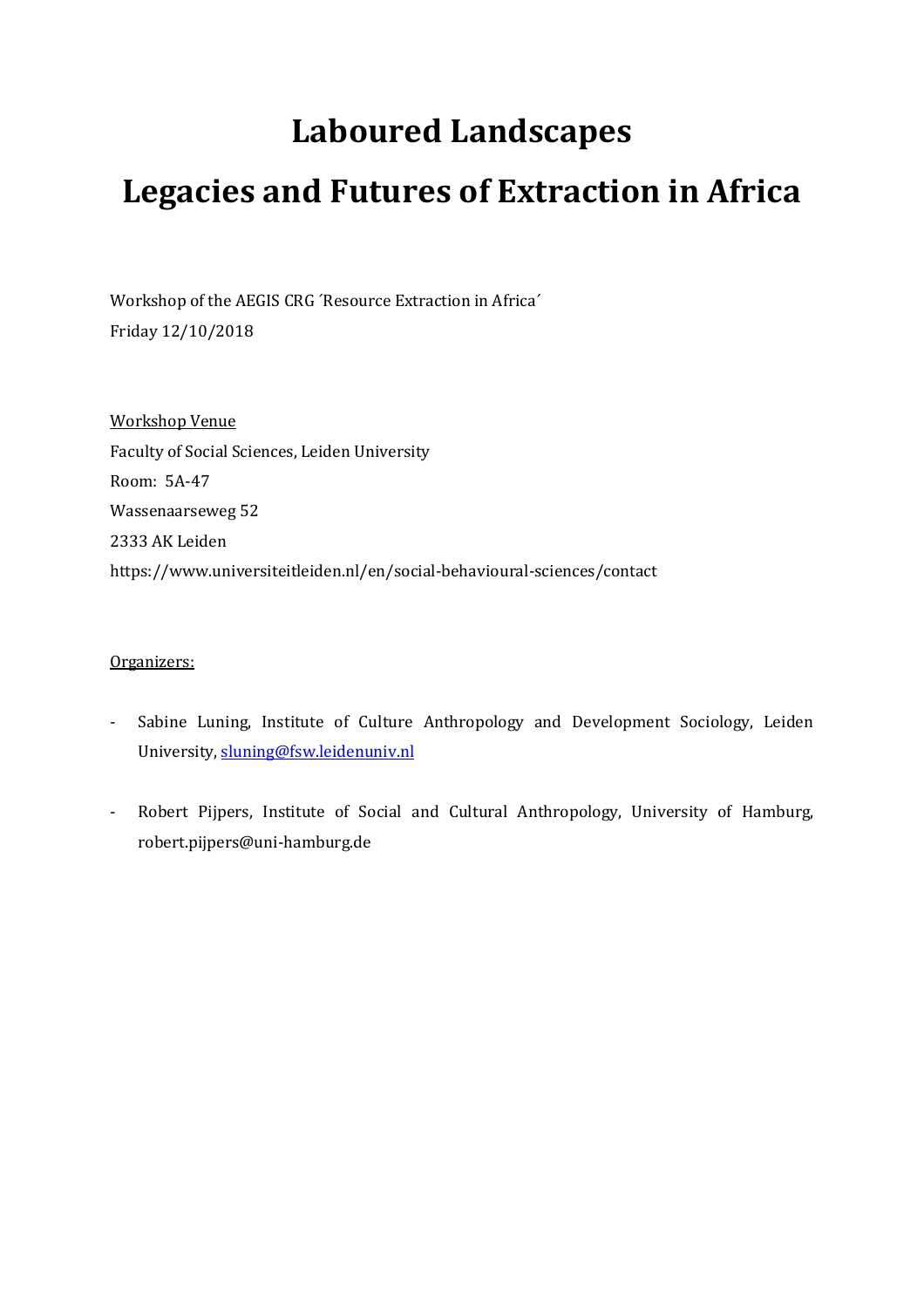# **Laboured Landscapes**

# **Legacies and Futures of Extraction in Africa**

Workshop of the AEGIS CRG ´Resource Extraction in Africa´ Friday 12/10/2018

Workshop Venue Faculty of Social Sciences, Leiden University Room: 5A-47 Wassenaarseweg 52 2333 AK Leiden https://www.universiteitleiden.nl/en/social-behavioural-sciences/contact

### Organizers:

- Sabine Luning, Institute of Culture Anthropology and Development Sociology, Leiden University[, sluning@fsw.leidenuniv.nl](mailto:sluning@fsw.leidenuniv.nl)
- Robert Pijpers, Institute of Social and Cultural Anthropology, University of Hamburg, [robert.pijpers@uni-hamburg.de](mailto:robert.pijpers@uni-hamburg.de)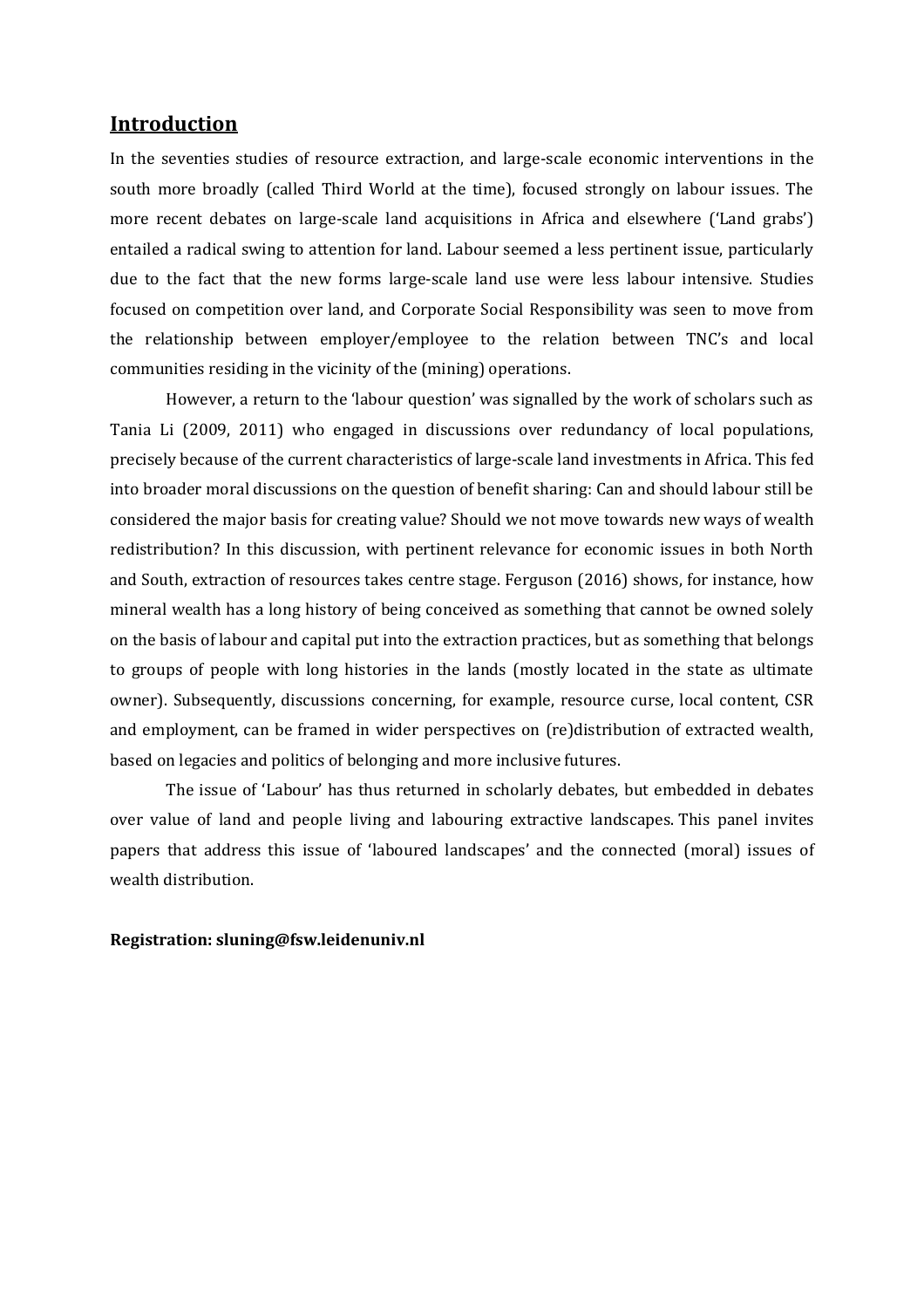### **Introduction**

In the seventies studies of resource extraction, and large-scale economic interventions in the south more broadly (called Third World at the time), focused strongly on labour issues. The more recent debates on large-scale land acquisitions in Africa and elsewhere ('Land grabs') entailed a radical swing to attention for land. Labour seemed a less pertinent issue, particularly due to the fact that the new forms large-scale land use were less labour intensive. Studies focused on competition over land, and Corporate Social Responsibility was seen to move from the relationship between employer/employee to the relation between TNC's and local communities residing in the vicinity of the (mining) operations.

However, a return to the 'labour question' was signalled by the work of scholars such as Tania Li (2009, 2011) who engaged in discussions over redundancy of local populations, precisely because of the current characteristics of large-scale land investments in Africa. This fed into broader moral discussions on the question of benefit sharing: Can and should labour still be considered the major basis for creating value? Should we not move towards new ways of wealth redistribution? In this discussion, with pertinent relevance for economic issues in both North and South, extraction of resources takes centre stage. Ferguson (2016) shows, for instance, how mineral wealth has a long history of being conceived as something that cannot be owned solely on the basis of labour and capital put into the extraction practices, but as something that belongs to groups of people with long histories in the lands (mostly located in the state as ultimate owner). Subsequently, discussions concerning, for example, resource curse, local content, CSR and employment, can be framed in wider perspectives on (re)distribution of extracted wealth, based on legacies and politics of belonging and more inclusive futures.

The issue of 'Labour' has thus returned in scholarly debates, but embedded in debates over value of land and people living and labouring extractive landscapes. This panel invites papers that address this issue of 'laboured landscapes' and the connected (moral) issues of wealth distribution.

### **Registration: sluning@fsw.leidenuniv.nl**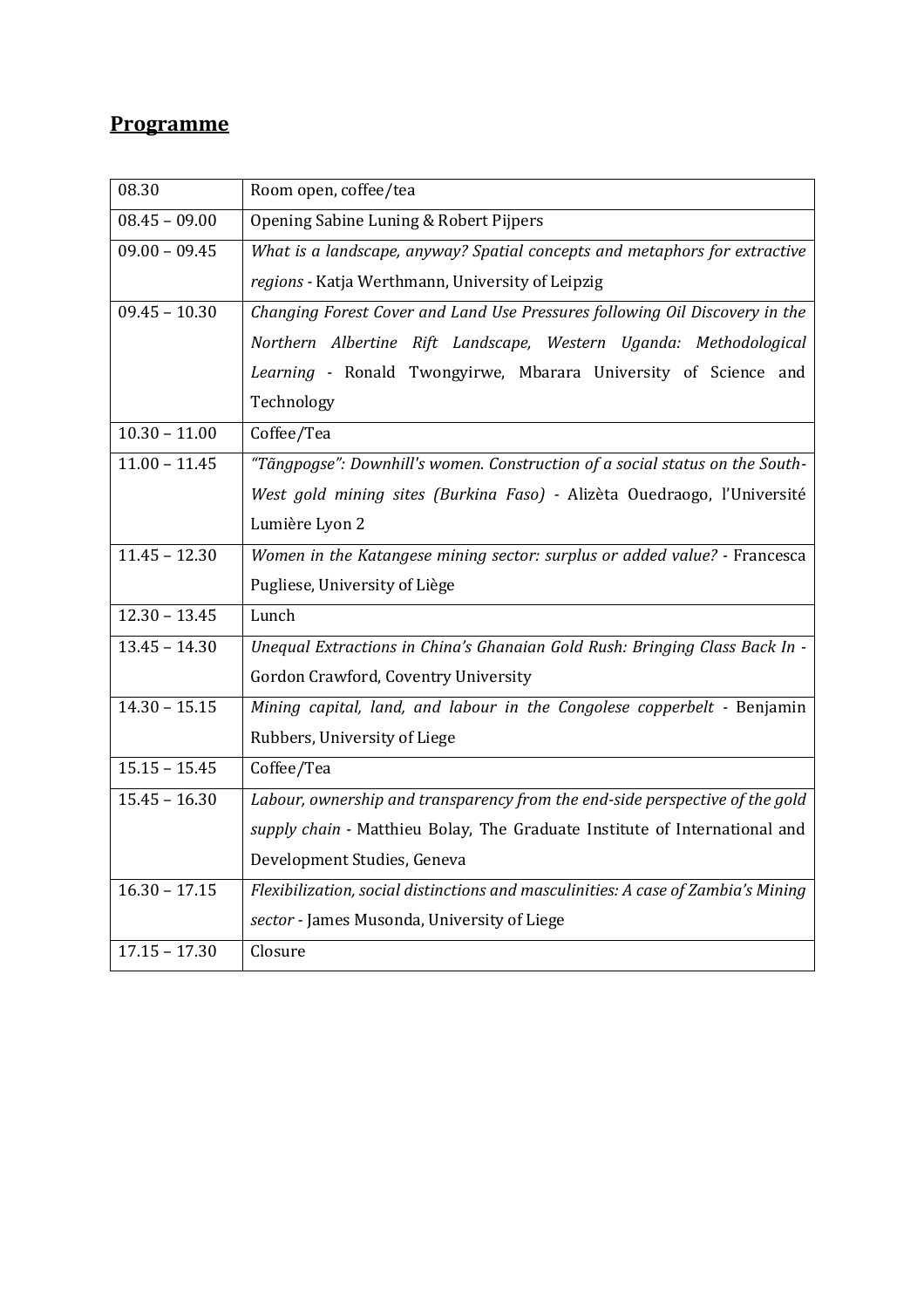## **Programme**

| 08.30           | Room open, coffee/tea                                                             |
|-----------------|-----------------------------------------------------------------------------------|
| $08.45 - 09.00$ | Opening Sabine Luning & Robert Pijpers                                            |
| $09.00 - 09.45$ | What is a landscape, anyway? Spatial concepts and metaphors for extractive        |
|                 | regions - Katja Werthmann, University of Leipzig                                  |
| $09.45 - 10.30$ | Changing Forest Cover and Land Use Pressures following Oil Discovery in the       |
|                 | Northern Albertine Rift Landscape, Western Uganda: Methodological                 |
|                 | Learning - Ronald Twongyirwe, Mbarara University of Science and                   |
|                 | Technology                                                                        |
| $10.30 - 11.00$ | Coffee/Tea                                                                        |
| $11.00 - 11.45$ | "Tãngpogse": Downhill's women. Construction of a social status on the South-      |
|                 | West gold mining sites (Burkina Faso) - Alizèta Ouedraogo, l'Université           |
|                 | Lumière Lyon 2                                                                    |
| $11.45 - 12.30$ | Women in the Katangese mining sector: surplus or added value? - Francesca         |
|                 | Pugliese, University of Liège                                                     |
| $12.30 - 13.45$ | Lunch                                                                             |
| $13.45 - 14.30$ | Unequal Extractions in China's Ghanaian Gold Rush: Bringing Class Back In -       |
|                 | Gordon Crawford, Coventry University                                              |
| $14.30 - 15.15$ | Mining capital, land, and labour in the Congolese copperbelt - Benjamin           |
|                 | Rubbers, University of Liege                                                      |
| $15.15 - 15.45$ | Coffee/Tea                                                                        |
| $15.45 - 16.30$ | Labour, ownership and transparency from the end-side perspective of the gold      |
|                 | supply chain - Matthieu Bolay, The Graduate Institute of International and        |
|                 | Development Studies, Geneva                                                       |
| $16.30 - 17.15$ | Flexibilization, social distinctions and masculinities: A case of Zambia's Mining |
|                 | sector - James Musonda, University of Liege                                       |
| $17.15 - 17.30$ | Closure                                                                           |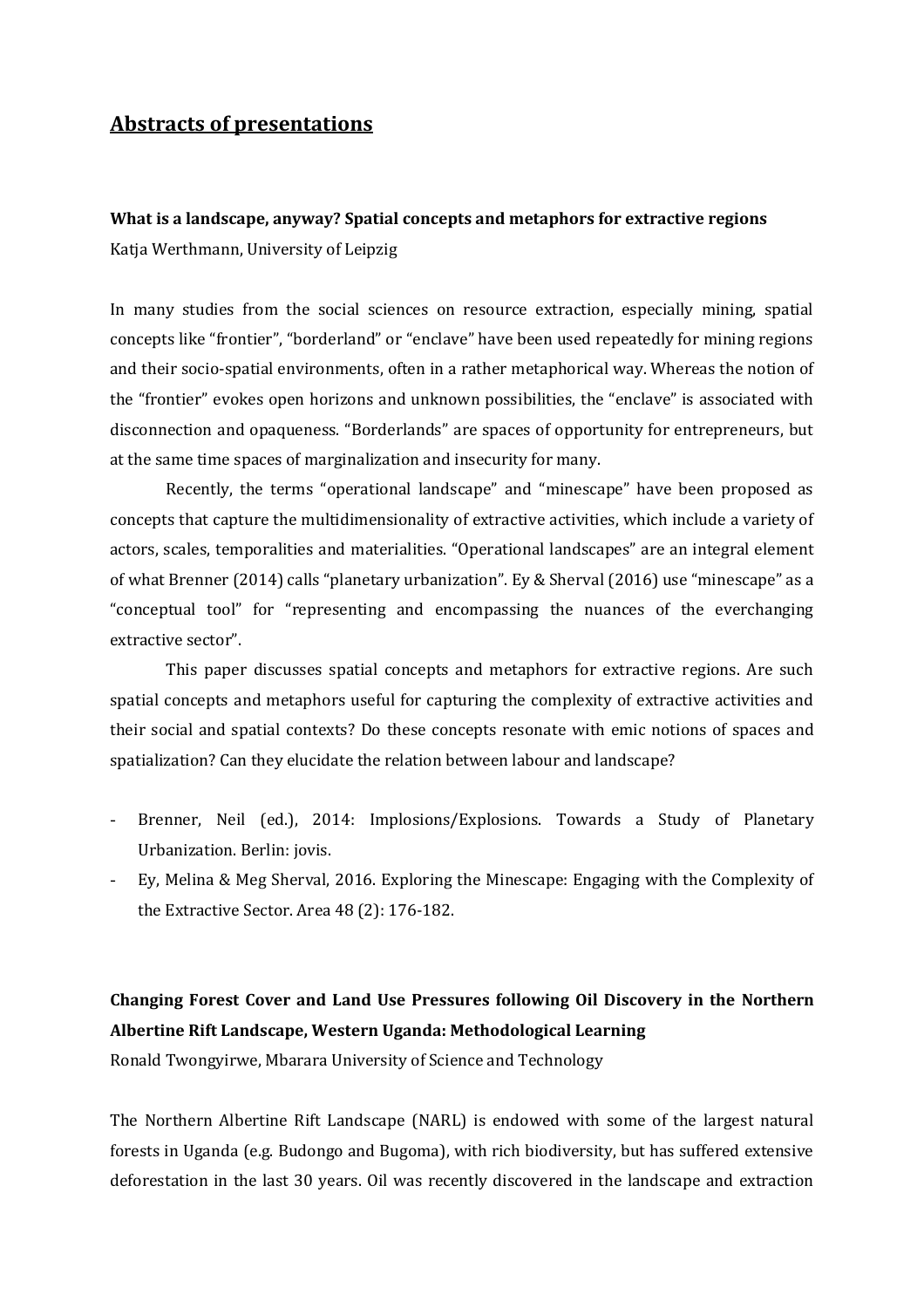### **Abstracts of presentations**

**What is a landscape, anyway? Spatial concepts and metaphors for extractive regions** Katja Werthmann, University of Leipzig

In many studies from the social sciences on resource extraction, especially mining, spatial concepts like "frontier", "borderland" or "enclave" have been used repeatedly for mining regions and their socio-spatial environments, often in a rather metaphorical way. Whereas the notion of the "frontier" evokes open horizons and unknown possibilities, the "enclave" is associated with disconnection and opaqueness. "Borderlands" are spaces of opportunity for entrepreneurs, but at the same time spaces of marginalization and insecurity for many.

Recently, the terms "operational landscape" and "minescape" have been proposed as concepts that capture the multidimensionality of extractive activities, which include a variety of actors, scales, temporalities and materialities. "Operational landscapes" are an integral element of what Brenner (2014) calls "planetary urbanization". Ey & Sherval (2016) use "minescape" as a "conceptual tool" for "representing and encompassing the nuances of the everchanging extractive sector".

This paper discusses spatial concepts and metaphors for extractive regions. Are such spatial concepts and metaphors useful for capturing the complexity of extractive activities and their social and spatial contexts? Do these concepts resonate with emic notions of spaces and spatialization? Can they elucidate the relation between labour and landscape?

- Brenner, Neil (ed.), 2014: Implosions/Explosions. Towards a Study of Planetary Urbanization. Berlin: jovis.
- Ey, Melina & Meg Sherval, 2016. Exploring the Minescape: Engaging with the Complexity of the Extractive Sector. Area 48 (2): 176-182.

# **Changing Forest Cover and Land Use Pressures following Oil Discovery in the Northern Albertine Rift Landscape, Western Uganda: Methodological Learning**

Ronald Twongyirwe, Mbarara University of Science and Technology

The Northern Albertine Rift Landscape (NARL) is endowed with some of the largest natural forests in Uganda (e.g. Budongo and Bugoma), with rich biodiversity, but has suffered extensive deforestation in the last 30 years. Oil was recently discovered in the landscape and extraction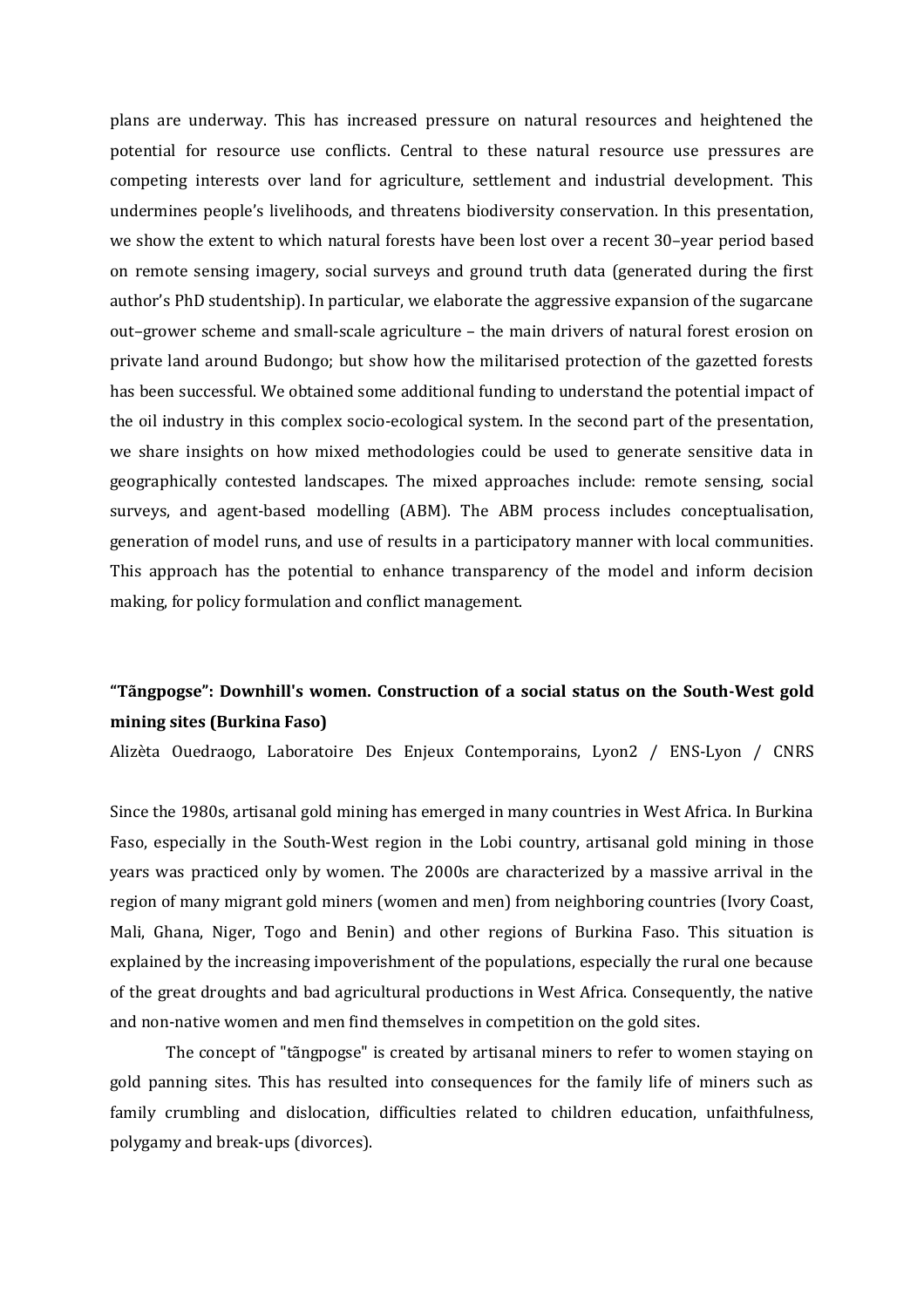plans are underway. This has increased pressure on natural resources and heightened the potential for resource use conflicts. Central to these natural resource use pressures are competing interests over land for agriculture, settlement and industrial development. This undermines people's livelihoods, and threatens biodiversity conservation. In this presentation, we show the extent to which natural forests have been lost over a recent 30–year period based on remote sensing imagery, social surveys and ground truth data (generated during the first author's PhD studentship). In particular, we elaborate the aggressive expansion of the sugarcane out–grower scheme and small-scale agriculture – the main drivers of natural forest erosion on private land around Budongo; but show how the militarised protection of the gazetted forests has been successful. We obtained some additional funding to understand the potential impact of the oil industry in this complex socio-ecological system. In the second part of the presentation, we share insights on how mixed methodologies could be used to generate sensitive data in geographically contested landscapes. The mixed approaches include: remote sensing, social surveys, and agent-based modelling (ABM). The ABM process includes conceptualisation, generation of model runs, and use of results in a participatory manner with local communities. This approach has the potential to enhance transparency of the model and inform decision making, for policy formulation and conflict management.

## **"Tãngpogse": Downhill's women. Construction of a social status on the South-West gold mining sites (Burkina Faso)**

Alizèta Ouedraogo, Laboratoire Des Enjeux Contemporains, Lyon2 / ENS-Lyon / CNRS

Since the 1980s, artisanal gold mining has emerged in many countries in West Africa. In Burkina Faso, especially in the South-West region in the Lobi country, artisanal gold mining in those years was practiced only by women. The 2000s are characterized by a massive arrival in the region of many migrant gold miners (women and men) from neighboring countries (Ivory Coast, Mali, Ghana, Niger, Togo and Benin) and other regions of Burkina Faso. This situation is explained by the increasing impoverishment of the populations, especially the rural one because of the great droughts and bad agricultural productions in West Africa. Consequently, the native and non-native women and men find themselves in competition on the gold sites.

The concept of "tãngpogse" is created by artisanal miners to refer to women staying on gold panning sites. This has resulted into consequences for the family life of miners such as family crumbling and dislocation, difficulties related to children education, unfaithfulness, polygamy and break-ups (divorces).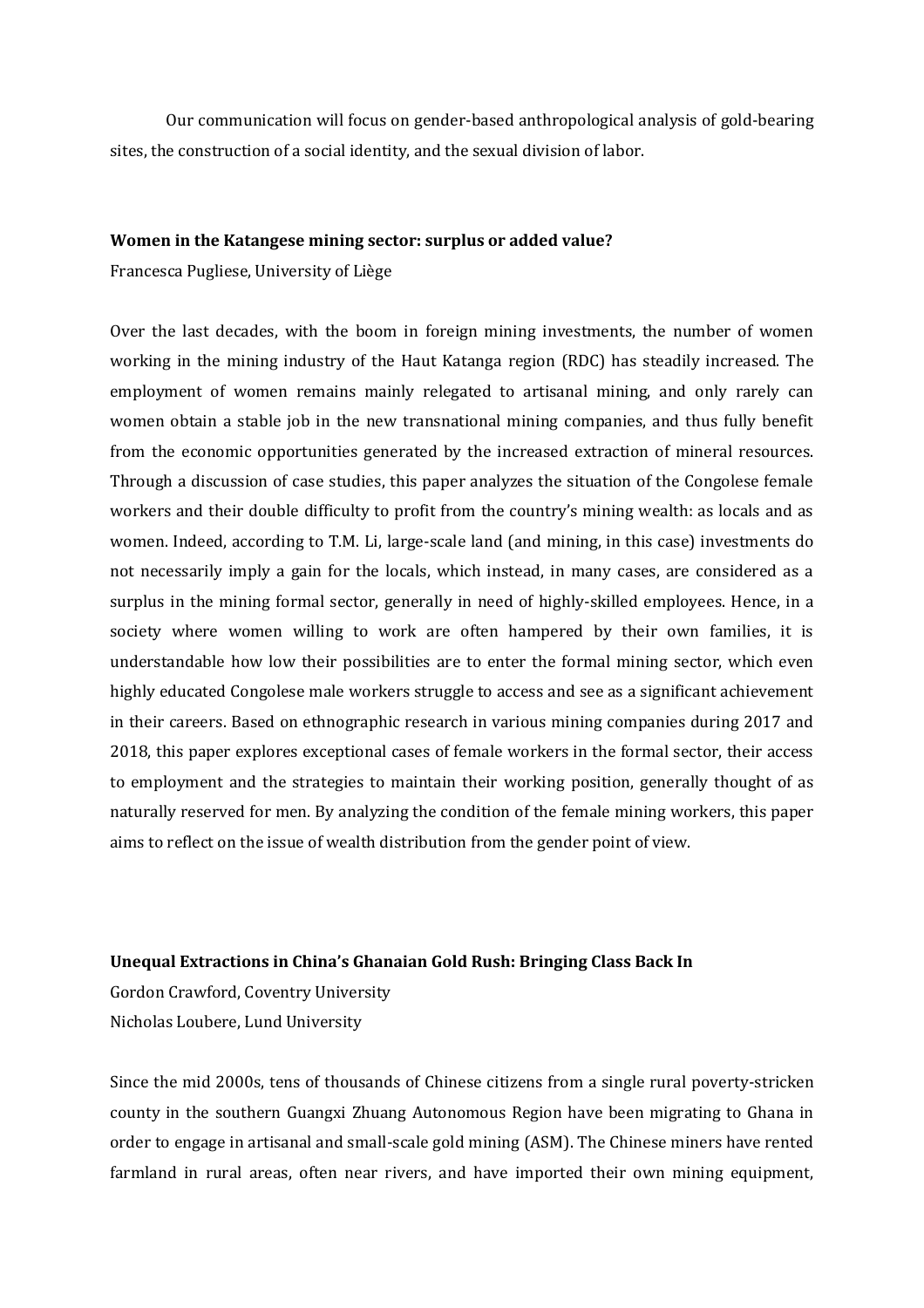Our communication will focus on gender-based anthropological analysis of gold-bearing sites, the construction of a social identity, and the sexual division of labor.

#### **Women in the Katangese mining sector: surplus or added value?**

Francesca Pugliese, University of Liège

Over the last decades, with the boom in foreign mining investments, the number of women working in the mining industry of the Haut Katanga region (RDC) has steadily increased. The employment of women remains mainly relegated to artisanal mining, and only rarely can women obtain a stable job in the new transnational mining companies, and thus fully benefit from the economic opportunities generated by the increased extraction of mineral resources. Through a discussion of case studies, this paper analyzes the situation of the Congolese female workers and their double difficulty to profit from the country's mining wealth: as locals and as women. Indeed, according to T.M. Li, large-scale land (and mining, in this case) investments do not necessarily imply a gain for the locals, which instead, in many cases, are considered as a surplus in the mining formal sector, generally in need of highly-skilled employees. Hence, in a society where women willing to work are often hampered by their own families, it is understandable how low their possibilities are to enter the formal mining sector, which even highly educated Congolese male workers struggle to access and see as a significant achievement in their careers. Based on ethnographic research in various mining companies during 2017 and 2018, this paper explores exceptional cases of female workers in the formal sector, their access to employment and the strategies to maintain their working position, generally thought of as naturally reserved for men. By analyzing the condition of the female mining workers, this paper aims to reflect on the issue of wealth distribution from the gender point of view.

### **Unequal Extractions in China's Ghanaian Gold Rush: Bringing Class Back In**

Gordon Crawford, Coventry University Nicholas Loubere, Lund University

Since the mid 2000s, tens of thousands of Chinese citizens from a single rural poverty-stricken county in the southern Guangxi Zhuang Autonomous Region have been migrating to Ghana in order to engage in artisanal and small-scale gold mining (ASM). The Chinese miners have rented farmland in rural areas, often near rivers, and have imported their own mining equipment,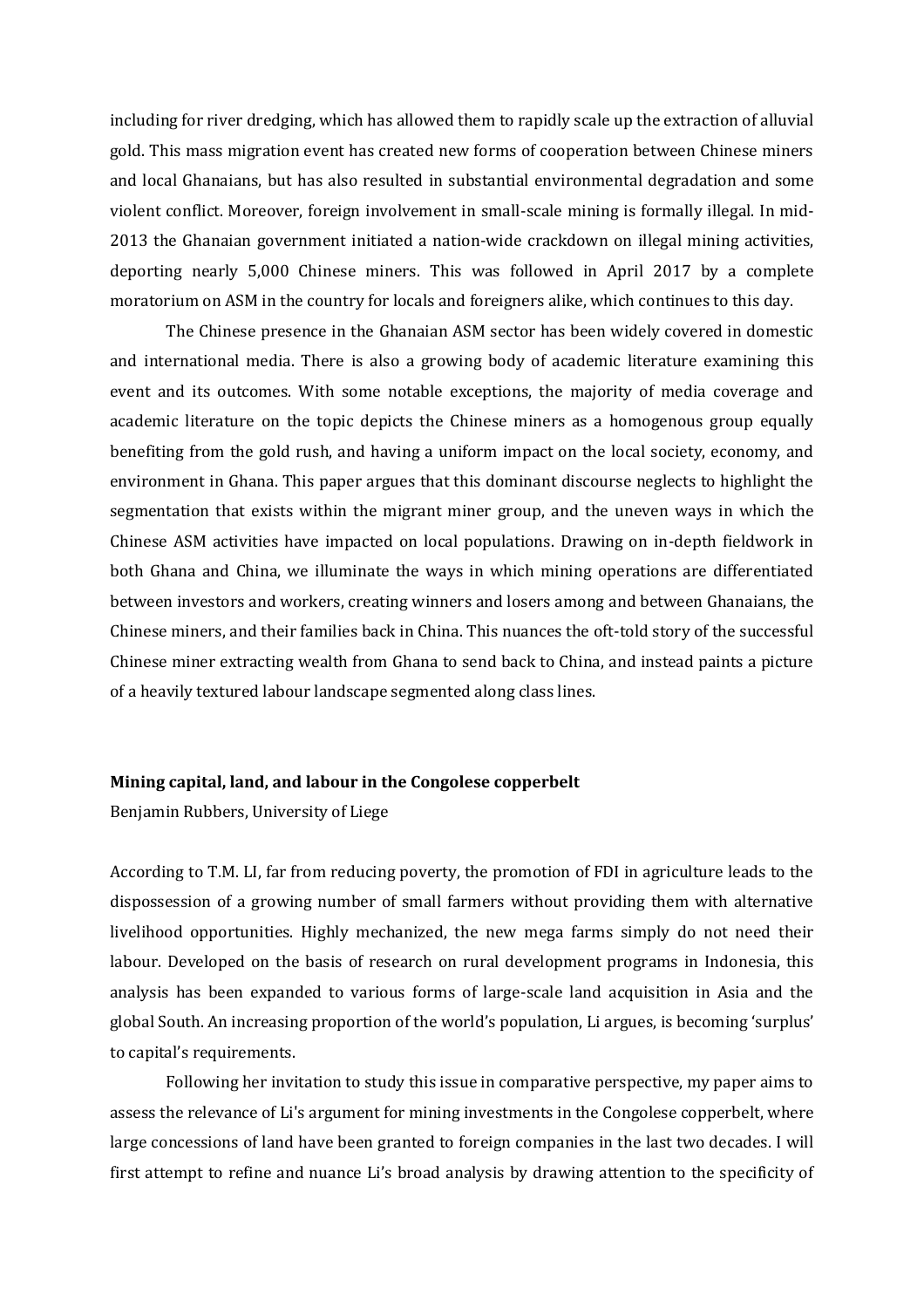including for river dredging, which has allowed them to rapidly scale up the extraction of alluvial gold. This mass migration event has created new forms of cooperation between Chinese miners and local Ghanaians, but has also resulted in substantial environmental degradation and some violent conflict. Moreover, foreign involvement in small-scale mining is formally illegal. In mid-2013 the Ghanaian government initiated a nation-wide crackdown on illegal mining activities, deporting nearly 5,000 Chinese miners. This was followed in April 2017 by a complete moratorium on ASM in the country for locals and foreigners alike, which continues to this day.

The Chinese presence in the Ghanaian ASM sector has been widely covered in domestic and international media. There is also a growing body of academic literature examining this event and its outcomes. With some notable exceptions, the majority of media coverage and academic literature on the topic depicts the Chinese miners as a homogenous group equally benefiting from the gold rush, and having a uniform impact on the local society, economy, and environment in Ghana. This paper argues that this dominant discourse neglects to highlight the segmentation that exists within the migrant miner group, and the uneven ways in which the Chinese ASM activities have impacted on local populations. Drawing on in-depth fieldwork in both Ghana and China, we illuminate the ways in which mining operations are differentiated between investors and workers, creating winners and losers among and between Ghanaians, the Chinese miners, and their families back in China. This nuances the oft-told story of the successful Chinese miner extracting wealth from Ghana to send back to China, and instead paints a picture of a heavily textured labour landscape segmented along class lines.

### **Mining capital, land, and labour in the Congolese copperbelt**

Benjamin Rubbers, University of Liege

According to T.M. LI, far from reducing poverty, the promotion of FDI in agriculture leads to the dispossession of a growing number of small farmers without providing them with alternative livelihood opportunities. Highly mechanized, the new mega farms simply do not need their labour. Developed on the basis of research on rural development programs in Indonesia, this analysis has been expanded to various forms of large-scale land acquisition in Asia and the global South. An increasing proportion of the world's population, Li argues, is becoming 'surplus' to capital's requirements.

Following her invitation to study this issue in comparative perspective, my paper aims to assess the relevance of Li's argument for mining investments in the Congolese copperbelt, where large concessions of land have been granted to foreign companies in the last two decades. I will first attempt to refine and nuance Li's broad analysis by drawing attention to the specificity of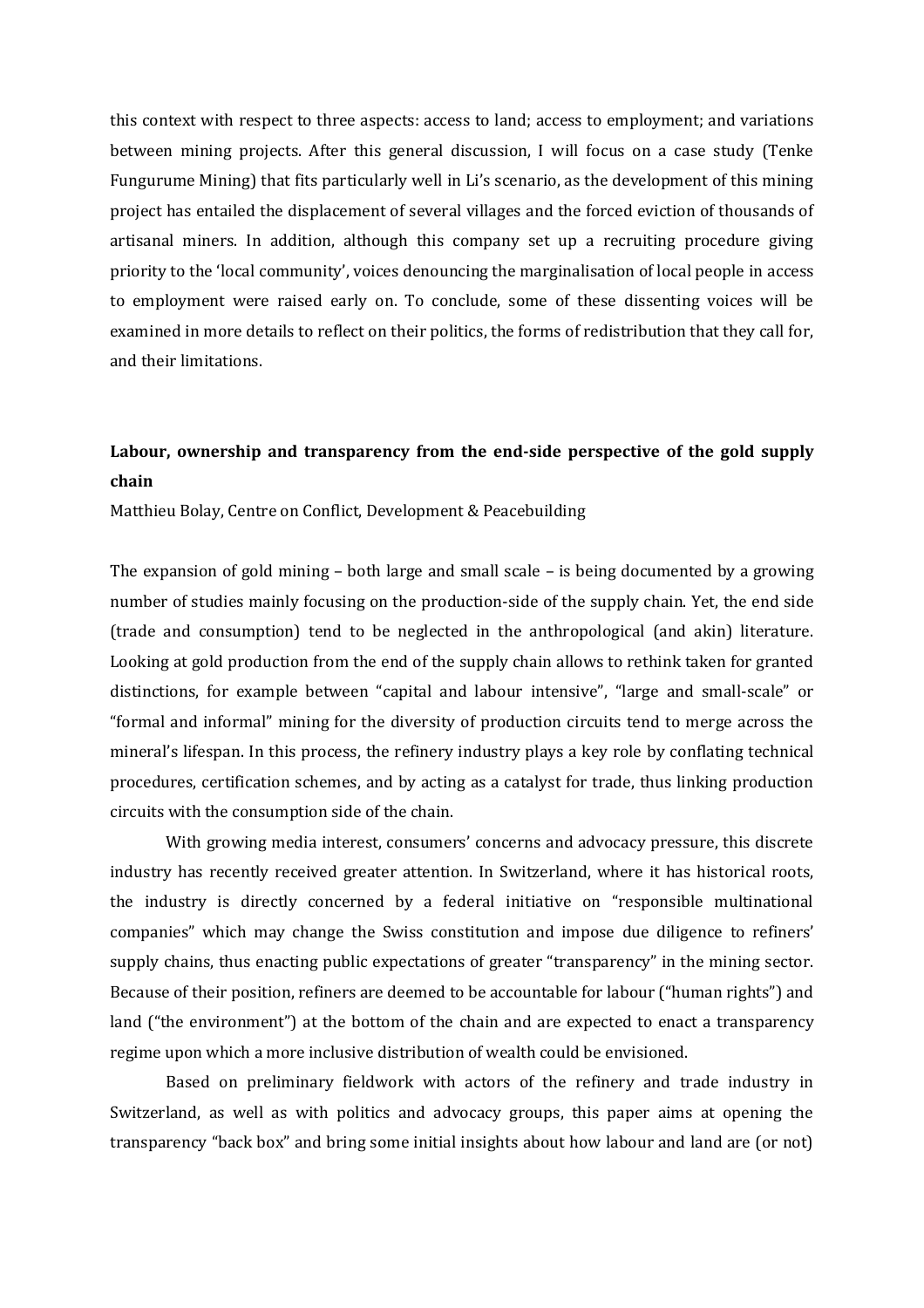this context with respect to three aspects: access to land; access to employment; and variations between mining projects. After this general discussion, I will focus on a case study (Tenke Fungurume Mining) that fits particularly well in Li's scenario, as the development of this mining project has entailed the displacement of several villages and the forced eviction of thousands of artisanal miners. In addition, although this company set up a recruiting procedure giving priority to the 'local community', voices denouncing the marginalisation of local people in access to employment were raised early on. To conclude, some of these dissenting voices will be examined in more details to reflect on their politics, the forms of redistribution that they call for, and their limitations.

## **Labour, ownership and transparency from the end-side perspective of the gold supply chain**

Matthieu Bolay, Centre on Conflict, Development & Peacebuilding

The expansion of gold mining – both large and small scale – is being documented by a growing number of studies mainly focusing on the production-side of the supply chain. Yet, the end side (trade and consumption) tend to be neglected in the anthropological (and akin) literature. Looking at gold production from the end of the supply chain allows to rethink taken for granted distinctions, for example between "capital and labour intensive", "large and small-scale" or "formal and informal" mining for the diversity of production circuits tend to merge across the mineral's lifespan. In this process, the refinery industry plays a key role by conflating technical procedures, certification schemes, and by acting as a catalyst for trade, thus linking production circuits with the consumption side of the chain.

With growing media interest, consumers' concerns and advocacy pressure, this discrete industry has recently received greater attention. In Switzerland, where it has historical roots, the industry is directly concerned by a federal initiative on "responsible multinational companies" which may change the Swiss constitution and impose due diligence to refiners' supply chains, thus enacting public expectations of greater "transparency" in the mining sector. Because of their position, refiners are deemed to be accountable for labour ("human rights") and land ("the environment") at the bottom of the chain and are expected to enact a transparency regime upon which a more inclusive distribution of wealth could be envisioned.

Based on preliminary fieldwork with actors of the refinery and trade industry in Switzerland, as well as with politics and advocacy groups, this paper aims at opening the transparency "back box" and bring some initial insights about how labour and land are (or not)